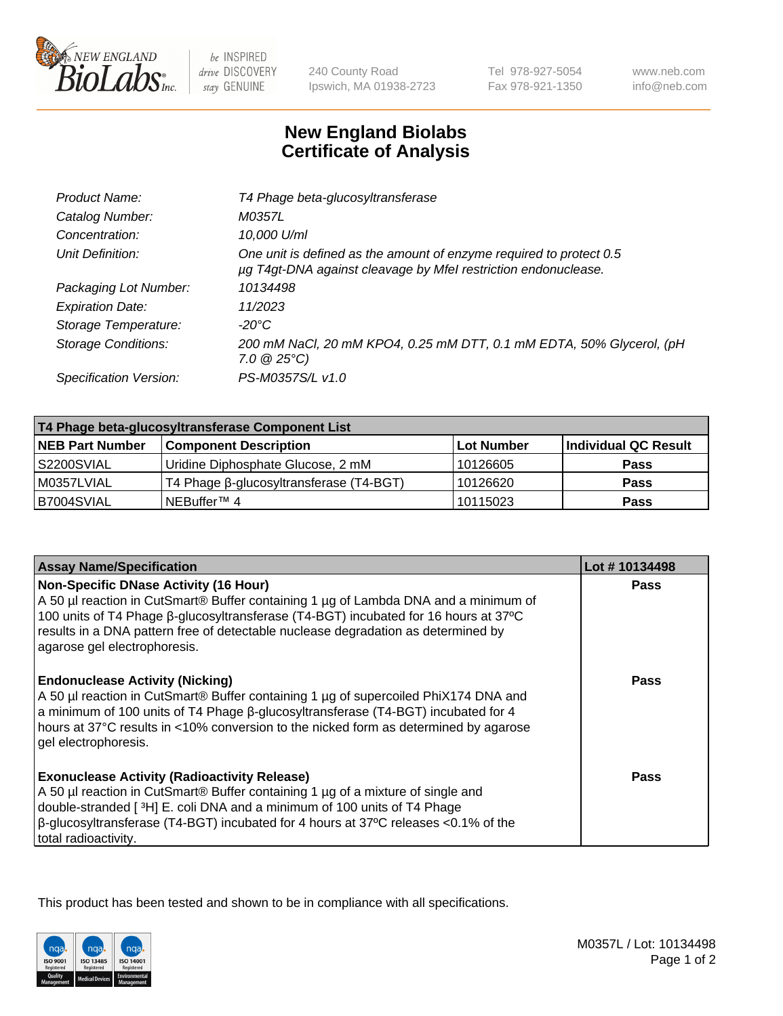

be INSPIRED drive DISCOVERY stay GENUINE

240 County Road Ipswich, MA 01938-2723 Tel 978-927-5054 Fax 978-921-1350

www.neb.com info@neb.com

## **New England Biolabs Certificate of Analysis**

| Catalog Number:<br>M0357L<br>10,000 U/ml<br>Concentration:<br>One unit is defined as the amount of enzyme required to protect 0.5<br>Unit Definition:<br>µg T4gt-DNA against cleavage by Mfel restriction endonuclease.<br>10134498<br>Packaging Lot Number:<br><b>Expiration Date:</b><br>11/2023<br>Storage Temperature:<br>-20°C<br><b>Storage Conditions:</b><br>$7.0 \ @ 25^{\circ}C$<br>PS-M0357S/L v1.0<br>Specification Version: | Product Name: | T4 Phage beta-glucosyltransferase                                    |
|------------------------------------------------------------------------------------------------------------------------------------------------------------------------------------------------------------------------------------------------------------------------------------------------------------------------------------------------------------------------------------------------------------------------------------------|---------------|----------------------------------------------------------------------|
|                                                                                                                                                                                                                                                                                                                                                                                                                                          |               |                                                                      |
|                                                                                                                                                                                                                                                                                                                                                                                                                                          |               |                                                                      |
|                                                                                                                                                                                                                                                                                                                                                                                                                                          |               |                                                                      |
|                                                                                                                                                                                                                                                                                                                                                                                                                                          |               |                                                                      |
|                                                                                                                                                                                                                                                                                                                                                                                                                                          |               |                                                                      |
|                                                                                                                                                                                                                                                                                                                                                                                                                                          |               |                                                                      |
|                                                                                                                                                                                                                                                                                                                                                                                                                                          |               | 200 mM NaCl, 20 mM KPO4, 0.25 mM DTT, 0.1 mM EDTA, 50% Glycerol, (pH |
|                                                                                                                                                                                                                                                                                                                                                                                                                                          |               |                                                                      |

| T4 Phage beta-glucosyltransferase Component List |                                         |            |                      |  |
|--------------------------------------------------|-----------------------------------------|------------|----------------------|--|
| <b>NEB Part Number</b>                           | <b>Component Description</b>            | Lot Number | Individual QC Result |  |
| S2200SVIAL                                       | Uridine Diphosphate Glucose, 2 mM       | 10126605   | <b>Pass</b>          |  |
| M0357LVIAL                                       | T4 Phage β-glucosyltransferase (T4-BGT) | 10126620   | <b>Pass</b>          |  |
| B7004SVIAL                                       | NEBuffer <sup>™</sup> 4                 | 10115023   | Pass                 |  |

| <b>Assay Name/Specification</b>                                                                                                                                                                                                                                                                                                                 | Lot #10134498 |
|-------------------------------------------------------------------------------------------------------------------------------------------------------------------------------------------------------------------------------------------------------------------------------------------------------------------------------------------------|---------------|
| <b>Non-Specific DNase Activity (16 Hour)</b><br>A 50 µl reaction in CutSmart® Buffer containing 1 µg of Lambda DNA and a minimum of<br>100 units of T4 Phage β-glucosyltransferase (T4-BGT) incubated for 16 hours at 37°C<br>results in a DNA pattern free of detectable nuclease degradation as determined by<br>agarose gel electrophoresis. | <b>Pass</b>   |
| <b>Endonuclease Activity (Nicking)</b><br>A 50 µl reaction in CutSmart® Buffer containing 1 µg of supercoiled PhiX174 DNA and<br>a minimum of 100 units of T4 Phage ß-glucosyltransferase (T4-BGT) incubated for 4<br>hours at 37°C results in <10% conversion to the nicked form as determined by agarose<br>gel electrophoresis.              | <b>Pass</b>   |
| <b>Exonuclease Activity (Radioactivity Release)</b><br>A 50 µl reaction in CutSmart® Buffer containing 1 µg of a mixture of single and<br>double-stranded [3H] E. coli DNA and a minimum of 100 units of T4 Phage<br>$\beta$ -glucosyltransferase (T4-BGT) incubated for 4 hours at 37°C releases <0.1% of the<br>total radioactivity.          | Pass          |

This product has been tested and shown to be in compliance with all specifications.